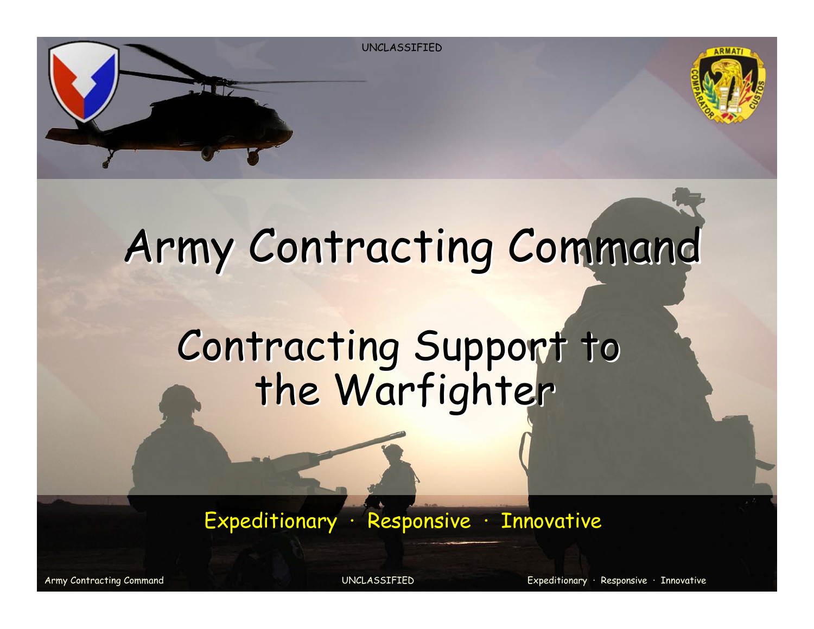

## Army Contracting Command

## Contracting Support to<br>the Warfighter

Expeditionary · Responsive · Innovative

Army Contracting Command UNCLASSIFIED Expeditionary · Responsive · Innovative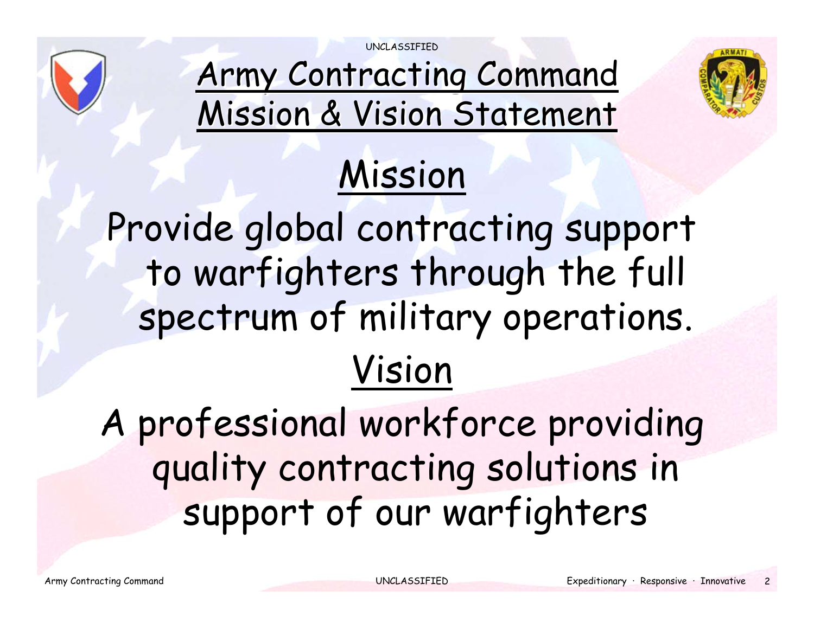UNCLASSIFIED



Army Contracting Command Mission & Vision Statement



## Mission

Provide global contracting support to warfighters through the full spectrum of military operations. Vision

A professional workforce providing quality contracting solutions in support of our warfighters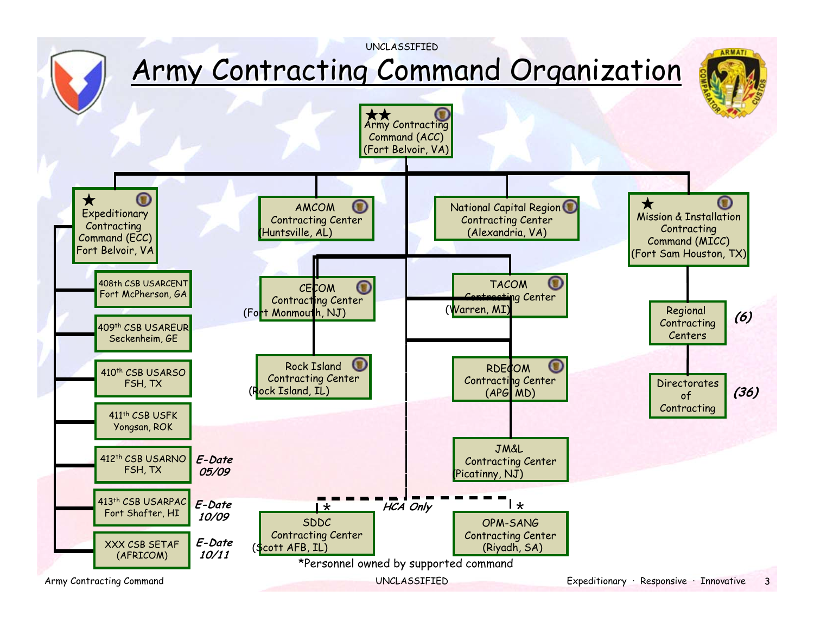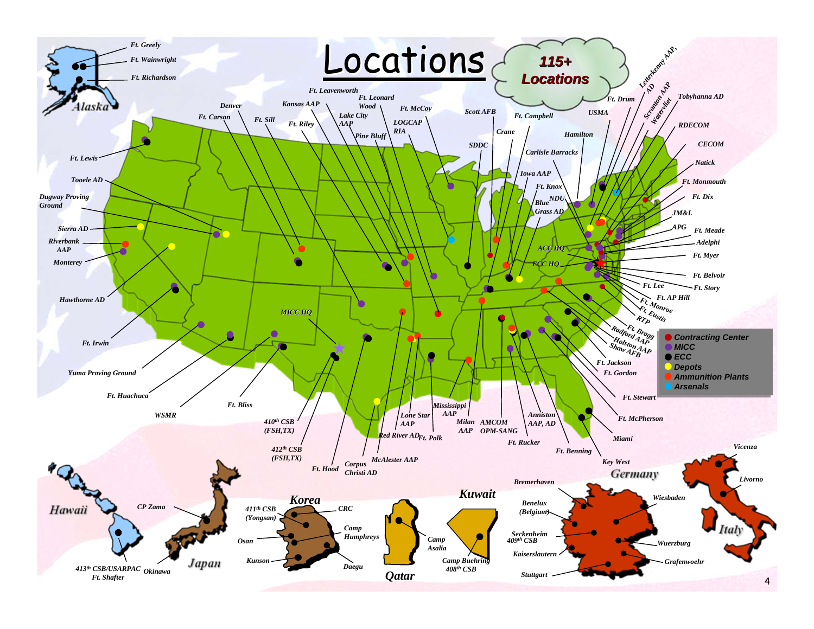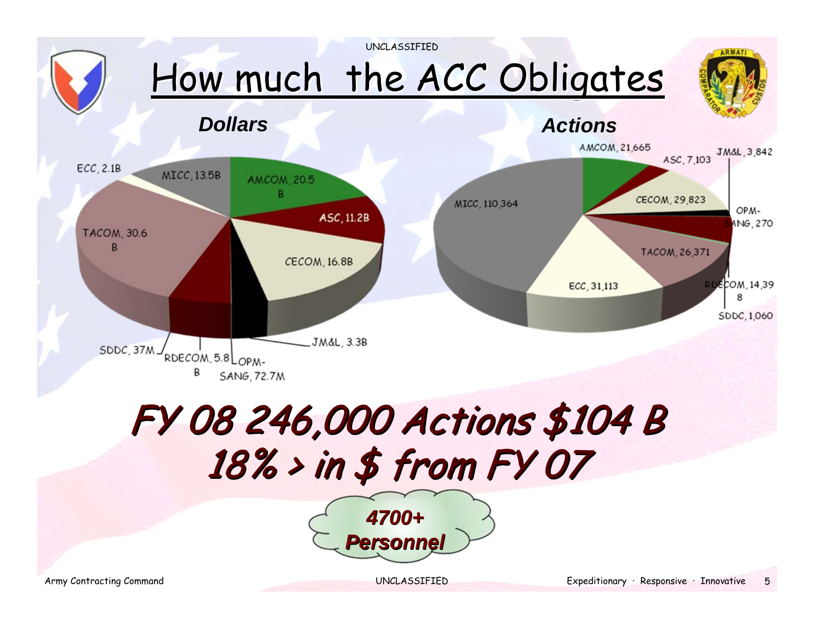

## FY 08 246,000 Actions \$104 B FY 08 246,000 Actions \$104 B  $18\%$  > in \$ from FY 07

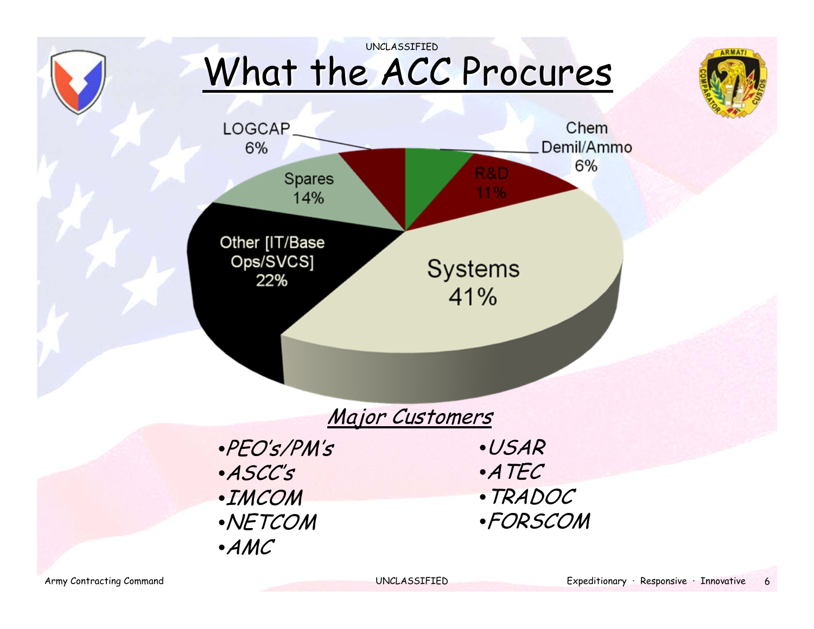

#### UNCLASSIFIED What the ACC Procures





#### Major Customers

•PEO's/PM's •ASCC's •IMCOM •NETCOM •AMC

•USAR •ATEC •TRADOC •FORSCOM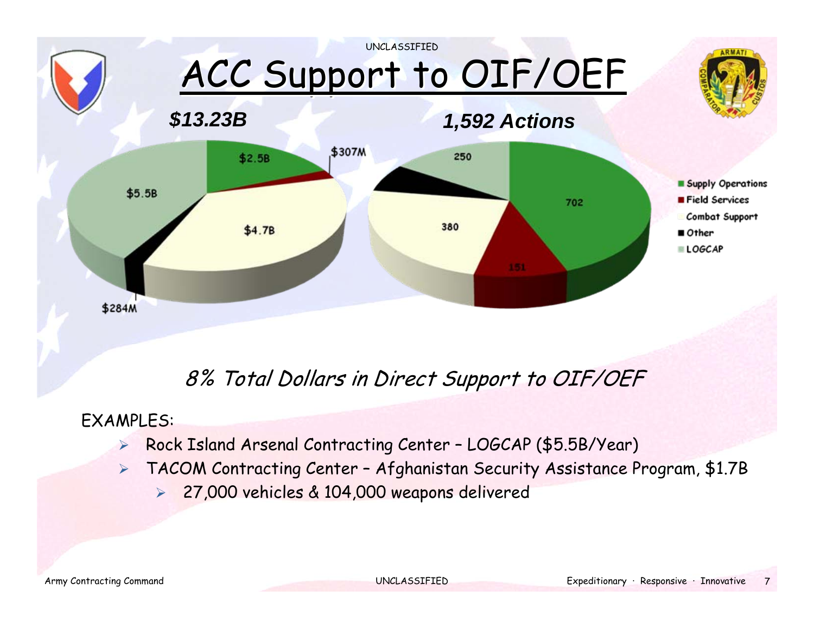

#### 8% Total Dollars in Direct Support to OIF/OEF

#### EXAMPLES:

- $\blacktriangleright$ Rock Island Arsenal Contracting Center – LOGCAP (\$5.5B/Year)
- $\blacktriangleright$  TACOM Contracting Center – Afghanistan Security Assistance Program, \$1.7B
	- $\blacktriangleright$ 27,000 vehicles & 104,000 weapons delivered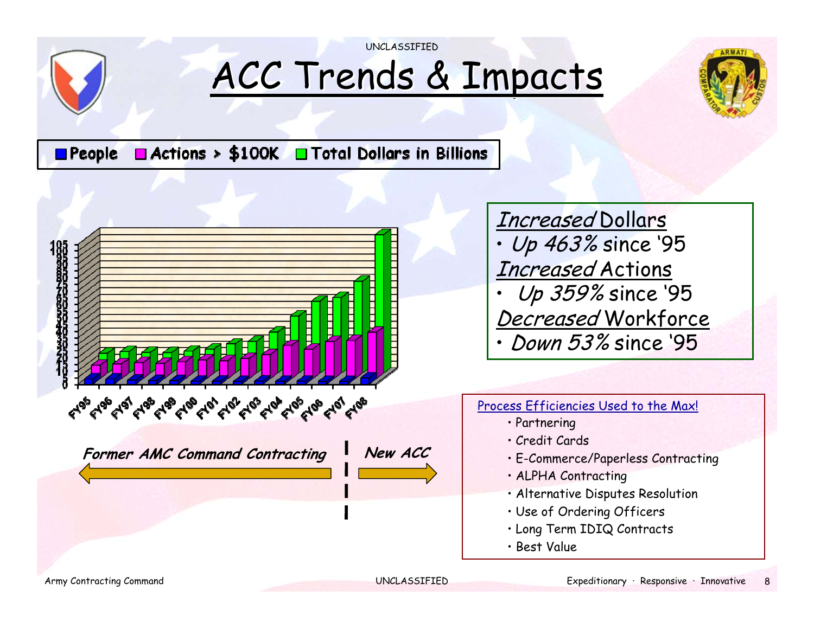

## ACC Trends & Impacts

UNCLASSIFIED



 $\Box$  Actions > \$100K  $\Box$  Total Dollars in Billions  $\blacksquare$  People



Increased Dollars • Up 463% since '95 Increased Actions • Up 359% since '95 Decreased Workforce •Down 53% since '95

#### Process Efficiencies Used to the Max!

- Partnering
- Credit Cards
- E-Commerce/Paperless Contracting
- ALPHA Contracting
- Alternative Disputes Resolution
- Use of Ordering Officers
- Long Term IDIQ Contracts
- Best Value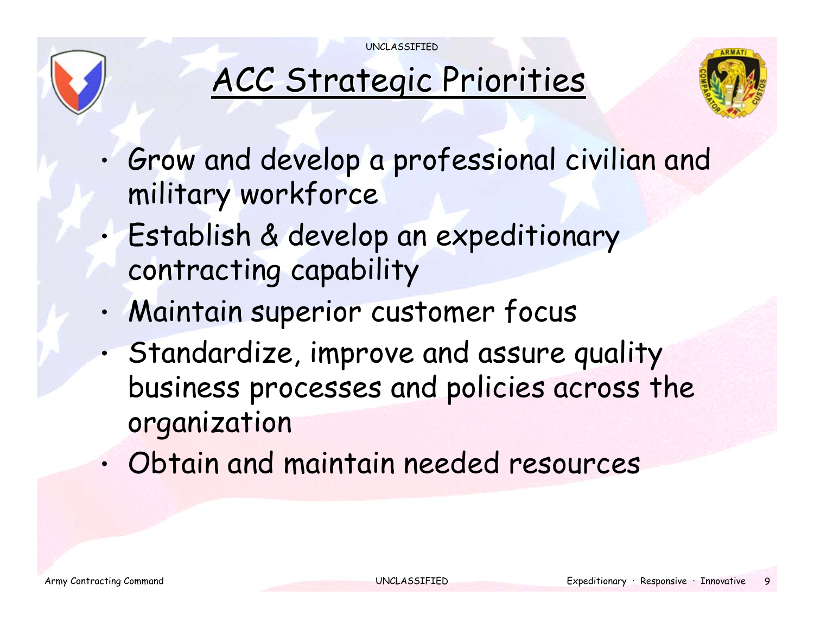UNCLASSIFIED



### ACC Strategic Priorities



- • Grow and develop a professional civilian and military workforce
- • Establish & develop an expeditionary contracting capability
- •Maintain superior customer focus
- • Standardize, improve and assure quality business processes and policies across the organization
- •Obtain and maintain needed resources